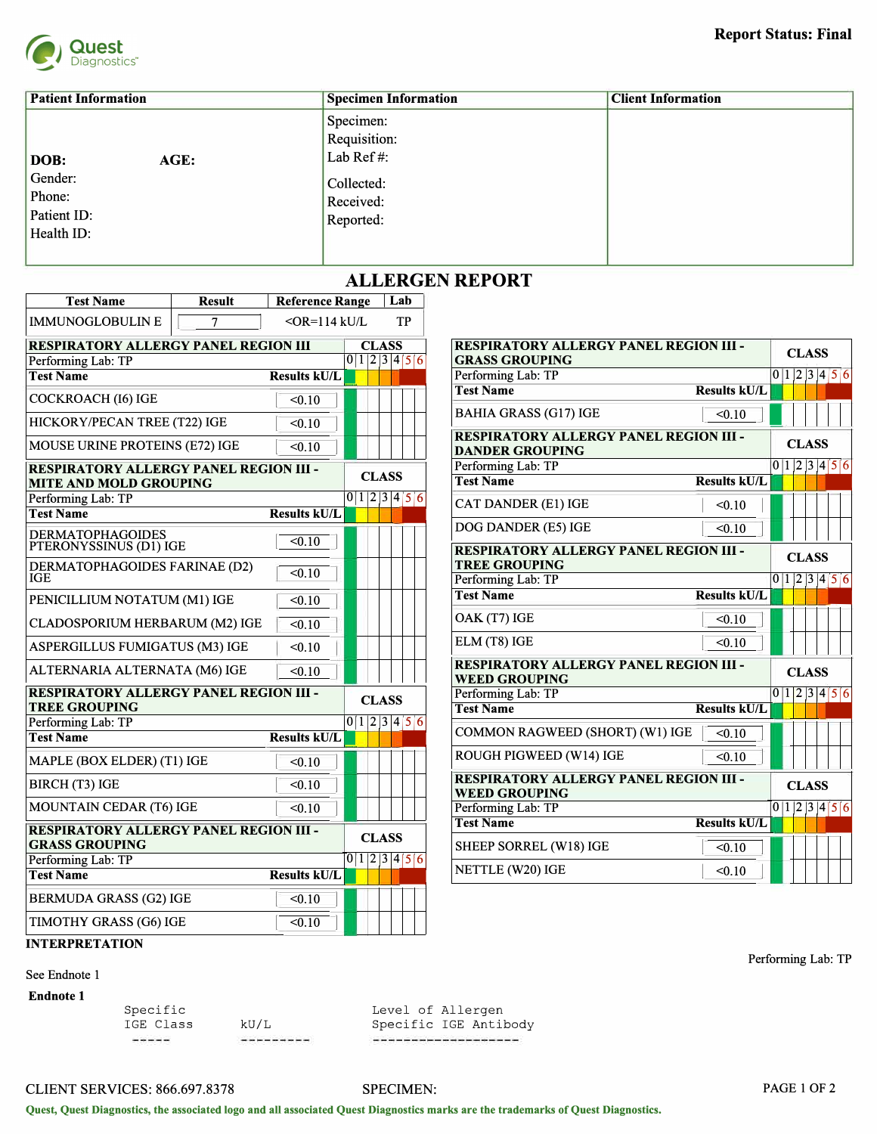

| <b>Patient Information</b>                                     | <b>Specimen Information</b>                                                    | <b>Client Information</b> |
|----------------------------------------------------------------|--------------------------------------------------------------------------------|---------------------------|
| AGE:<br>DOB:<br>Gender:<br>Phone:<br>Patient ID:<br>Health ID: | Specimen:<br>Requisition:<br>Lab Ref#:<br>Collected:<br>Received:<br>Reported: |                           |

## **ALLERGEN REPORT**

| <b>Test Name</b><br><b>Reference Range</b><br><b>Result</b><br>Lab                                                  |              |              |  |
|---------------------------------------------------------------------------------------------------------------------|--------------|--------------|--|
| <b>IMMUNOGLOBULIN E</b><br>$\overline{7}$<br>$<$ OR=114 kU/L<br>TP                                                  |              |              |  |
| <b>RESPIRATORY ALLERGY PANEL REGION III</b><br><b>CLASS</b><br><b>RESPIRATORY ALLERGY PANEL REGION III -</b>        |              | <b>CLASS</b> |  |
| 0 1 2 3 4 5 6<br>Performing Lab: TP<br><b>GRASS GROUPING</b>                                                        |              |              |  |
| Performing Lab: TP<br><b>Test Name</b><br><b>Results kU/L</b>                                                       |              | 0 1 2 3 4    |  |
| <b>Test Name</b><br><b>Results kU/L</b><br>COCKROACH (16) IGE<br>< 0.10                                             |              |              |  |
| <b>BAHIA GRASS (G17) IGE</b><br>< 0.10<br>HICKORY/PECAN TREE (T22) IGE<br>< 0.10                                    |              |              |  |
| <b>RESPIRATORY ALLERGY PANEL REGION III -</b><br>MOUSE URINE PROTEINS (E72) IGE<br>< 0.10<br><b>DANDER GROUPING</b> |              | <b>CLASS</b> |  |
| Performing Lab: TP<br><b>RESPIRATORY ALLERGY PANEL REGION III -</b>                                                 |              | 0 1 2 3 4    |  |
| <b>CLASS</b><br><b>Test Name</b><br><b>Results kU/L</b><br><b>MITE AND MOLD GROUPING</b>                            |              |              |  |
| 0 1 2 3 4 56<br>Performing Lab: TP                                                                                  |              |              |  |
| CAT DANDER (E1) IGE<br>< 0.10<br><b>Test Name</b><br><b>Results kU/L</b>                                            |              |              |  |
| DOG DANDER (E5) IGE<br>< 0.10<br><b>DERMATOPHAGOIDES</b><br>$\sqrt{0.10}$                                           |              |              |  |
| PTERONYSSINUS (D1) IGE<br><b>RESPIRATORY ALLERGY PANEL REGION III -</b>                                             |              | <b>CLASS</b> |  |
| <b>TREE GROUPING</b><br>DERMATOPHAGOIDES FARINAE (D2)<br>< 0.10                                                     |              |              |  |
| <b>IGE</b><br>Performing Lab: TP                                                                                    |              | 0 1 2 3 4    |  |
| <b>Results kU/L</b><br><b>Test Name</b><br>PENICILLIUM NOTATUM (M1) IGE<br>< 0.10                                   |              |              |  |
| OAK (T7) IGE<br>< 0.10<br><b>CLADOSPORIUM HERBARUM (M2) IGE</b><br>< 0.10                                           |              |              |  |
| ELM (T8) IGE<br>< 0.10<br>ASPERGILLUS FUMIGATUS (M3) IGE<br>< 0.10                                                  |              |              |  |
| RESPIRATORY ALLERGY PANEL REGION III -<br>ALTERNARIA ALTERNATA (M6) IGE<br>< 0.10<br><b>WEED GROUPING</b>           | <b>CLASS</b> |              |  |
| <b>RESPIRATORY ALLERGY PANEL REGION III -</b><br>Performing Lab: TP<br><b>CLASS</b>                                 |              | 0 1 2 3 4    |  |
| <b>TREE GROUPING</b><br><b>Test Name</b><br><b>Results kU/L</b>                                                     |              |              |  |
| 0 1 2 3 4 5 6<br>Performing Lab: TP                                                                                 |              |              |  |
| COMMON RAGWEED (SHORT) (W1) IGE<br>< 0.10<br><b>Results kU/L</b><br><b>Test Name</b>                                |              |              |  |
| ROUGH PIGWEED (W14) IGE<br>< 0.10<br>MAPLE (BOX ELDER) (T1) IGE<br>< 0.10                                           |              |              |  |
| RESPIRATORY ALLERGY PANEL REGION III -<br><b>BIRCH (T3) IGE</b><br>< 0.10<br><b>WEED GROUPING</b>                   |              | <b>CLASS</b> |  |
| MOUNTAIN CEDAR (T6) IGE<br>Performing Lab: TP<br>< 0.10                                                             |              | 0 1 2 3 4    |  |
| <b>Results kU/L</b><br><b>Test Name</b><br><b>RESPIRATORY ALLERGY PANEL REGION III -</b>                            |              |              |  |
| <b>CLASS</b><br><b>GRASS GROUPING</b><br>SHEEP SORREL (W18) IGE<br>< 0.10                                           |              |              |  |
| 0 1 2 3 4 5 6<br>Performing Lab: TP<br>NETTLE (W20) IGE<br>< 0.10                                                   |              |              |  |
| <b>Results kU/L</b><br><b>Test Name</b>                                                                             |              |              |  |
| <b>BERMUDA GRASS (G2) IGE</b><br>< 0.10                                                                             |              |              |  |
| TIMOTHY GRASS (G6) IGE<br>< 0.10                                                                                    |              |              |  |

| <b>RESPIRATORY ALLERGY PANEL REGION III</b>                            |                     | <b>CLASS</b>  |              | <b>RESPIRATORY ALLERGY PANEL REGION III -</b>                           |                     | <b>CLASS</b>  |
|------------------------------------------------------------------------|---------------------|---------------|--------------|-------------------------------------------------------------------------|---------------------|---------------|
| Performing Lab: TP                                                     |                     | 0 1 2 3 4 5 6 |              | <b>GRASS GROUPING</b>                                                   |                     |               |
| <b>Test Name</b>                                                       | <b>Results kU/L</b> |               |              | Performing Lab: TP                                                      |                     | 0 1 2 3 4 5 6 |
| COCKROACH (16) IGE                                                     | < 0.10              |               |              | <b>Test Name</b>                                                        | <b>Results kU/L</b> |               |
| HICKORY/PECAN TREE (T22) IGE                                           | < 0.10              |               |              | <b>BAHIA GRASS (G17) IGE</b>                                            | < 0.10              |               |
| MOUSE URINE PROTEINS (E72) IGE                                         | < 0.10              |               |              | <b>RESPIRATORY ALLERGY PANEL REGION III -</b><br><b>DANDER GROUPING</b> |                     | <b>CLASS</b>  |
| <b>RESPIRATORY ALLERGY PANEL REGION III -</b>                          |                     | <b>CLASS</b>  |              | Performing Lab: TP<br><b>Test Name</b>                                  |                     | 0 1 2 3 4 5 6 |
| <b>MITE AND MOLD GROUPING</b>                                          |                     |               |              |                                                                         | <b>Results kU/L</b> |               |
| Performing Lab: TP                                                     |                     | 0 1 2 3 4 5 6 |              | <b>CAT DANDER (E1) IGE</b>                                              | < 0.10              |               |
| <b>Test Name</b>                                                       | <b>Results kU/L</b> |               |              |                                                                         |                     |               |
| <b>DERMATOPHAGOIDES</b><br>PTERONYSSINUS (D1) IGE                      | < 0.10              |               |              | DOG DANDER (E5) IGE                                                     | < 0.10              |               |
|                                                                        |                     |               |              | RESPIRATORY ALLERGY PANEL REGION III -                                  |                     | <b>CLASS</b>  |
| DERMATOPHAGOIDES FARINAE (D2)<br>IGE                                   | < 0.10              |               |              | <b>TREE GROUPING</b><br>Performing Lab: TP                              |                     | 0 1 2 3 4 5 6 |
|                                                                        |                     |               |              | <b>Test Name</b>                                                        | <b>Results kU/L</b> |               |
| PENICILLIUM NOTATUM (M1) IGE                                           | < 0.10              |               |              |                                                                         |                     |               |
| CLADOSPORIUM HERBARUM (M2) IGE                                         | < 0.10              |               |              | OAK (T7) IGE                                                            | < 0.10              |               |
| ASPERGILLUS FUMIGATUS (M3) IGE                                         | < 0.10              |               |              | ELM (T8) IGE                                                            | < 0.10              |               |
| ALTERNARIA ALTERNATA (M6) IGE                                          | < 0.10              |               |              | <b>RESPIRATORY ALLERGY PANEL REGION III -</b><br><b>WEED GROUPING</b>   |                     | <b>CLASS</b>  |
| <b>RESPIRATORY ALLERGY PANEL REGION III -</b>                          |                     | <b>CLASS</b>  |              | Performing Lab: TP                                                      |                     | 0 1 2 3 4 5 6 |
| <b>TREE GROUPING</b>                                                   |                     |               |              | <b>Test Name</b>                                                        | <b>Results kU/L</b> |               |
| Performing Lab: TP                                                     |                     | 0 1 2 3 4 56  |              |                                                                         |                     |               |
| <b>Test Name</b>                                                       | <b>Results kU/L</b> |               |              | COMMON RAGWEED (SHORT) (W1) IGE                                         | < 0.10              |               |
| MAPLE (BOX ELDER) (T1) IGE                                             | < 0.10              |               |              | ROUGH PIGWEED (W14) IGE                                                 | < 0.10              |               |
| <b>BIRCH (T3) IGE</b>                                                  | < 0.10              |               |              | <b>RESPIRATORY ALLERGY PANEL REGION III -</b><br><b>WEED GROUPING</b>   |                     | <b>CLASS</b>  |
| <b>MOUNTAIN CEDAR (T6) IGE</b>                                         | < 0.10              |               |              | Performing Lab: TP                                                      |                     | 0 1 2 3 4 5 6 |
|                                                                        |                     |               |              | <b>Test Name</b>                                                        | <b>Results kU/L</b> |               |
| <b>RESPIRATORY ALLERGY PANEL REGION III -</b><br><b>GRASS GROUPING</b> |                     | <b>CLASS</b>  |              | SHEEP SORREL (W18) IGE                                                  | < 0.10              |               |
| Performing Lab: TP                                                     |                     | 0 1 2 3 4 5 6 |              | NETTLE (W20) IGE                                                        | < 0.10              |               |
| <b>Test Name</b>                                                       | <b>Results kU/L</b> |               | $\mathbf{1}$ |                                                                         |                     |               |
|                                                                        |                     |               |              |                                                                         |                     |               |

**INTERPRETATION** 

See Endnote 1

**Endnote 1** 

Specific IGE Class

kU/L<br>---------

Level of Allergen Specific IGE Antibody

CLIENT SERVICES: 866.697.8378

## SPECIMEN:

Performing Lab: TP

PAGE I OF 2

**Quest, Quest Diagnostics, the associated logo and all associated Quest Diagnostics marks are the trademarks of Quest Diagnostics.**